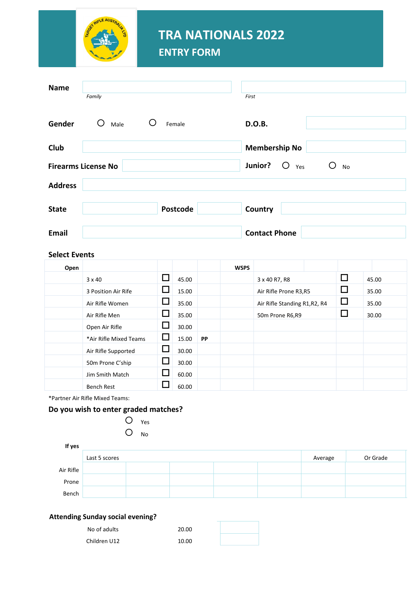

# **TRA NATIONALS 2022**

**ENTRY FORM**

| <b>Name</b>                |                        |                   |                             |               |  |
|----------------------------|------------------------|-------------------|-----------------------------|---------------|--|
|                            | Family                 |                   | First                       |               |  |
|                            |                        |                   |                             |               |  |
| Gender                     | $\overline{O}$<br>Male | $\circ$<br>Female | D.O.B.                      |               |  |
|                            |                        |                   |                             |               |  |
| Club                       |                        |                   | <b>Membership No</b>        |               |  |
| <b>Firearms License No</b> |                        |                   | Junior? $O$ $Y_{\text{es}}$ | $\circ$<br>No |  |
| <b>Address</b>             |                        |                   |                             |               |  |
|                            |                        |                   |                             |               |  |
| <b>State</b>               |                        | Postcode          | Country                     |               |  |
|                            |                        |                   |                             |               |  |
| <b>Email</b>               |                        |                   | <b>Contact Phone</b>        |               |  |

## **Select Events**

| Open |                        |   |       |           | <b>WSPS</b> |                               |        |       |
|------|------------------------|---|-------|-----------|-------------|-------------------------------|--------|-------|
|      | $3 \times 40$          |   | 45.00 |           |             | 3 x 40 R7, R8                 | □      | 45.00 |
|      | 3 Position Air Rife    |   | 15.00 |           |             | Air Rifle Prone R3,R5         | $\Box$ | 35.00 |
|      | Air Rifle Women        |   | 35.00 |           |             | Air Rifle Standing R1, R2, R4 | $\Box$ | 35.00 |
|      | Air Rifle Men          |   | 35.00 |           |             | 50m Prone R6,R9               |        | 30.00 |
|      | Open Air Rifle         |   | 30.00 |           |             |                               |        |       |
|      | *Air Rifle Mixed Teams | ப | 15.00 | <b>PP</b> |             |                               |        |       |
|      | Air Rifle Supported    |   | 30.00 |           |             |                               |        |       |
|      | 50m Prone C'ship       |   | 30.00 |           |             |                               |        |       |
|      | Jim Smith Match        |   | 60.00 |           |             |                               |        |       |
|      | <b>Bench Rest</b>      |   | 60.00 |           |             |                               |        |       |

\*Partner Air Rifle Mixed Teams:

## **Do you wish to enter graded matches?**



| If yes    |               |  |  |         |          |
|-----------|---------------|--|--|---------|----------|
|           | Last 5 scores |  |  | Average | Or Grade |
| Air Rifle |               |  |  |         |          |
| Prone     |               |  |  |         |          |
| Bench     |               |  |  |         |          |

#### **Attending Sunday social evening?**

| No of adults | 20.00 |  |
|--------------|-------|--|
| Children U12 | 10.00 |  |